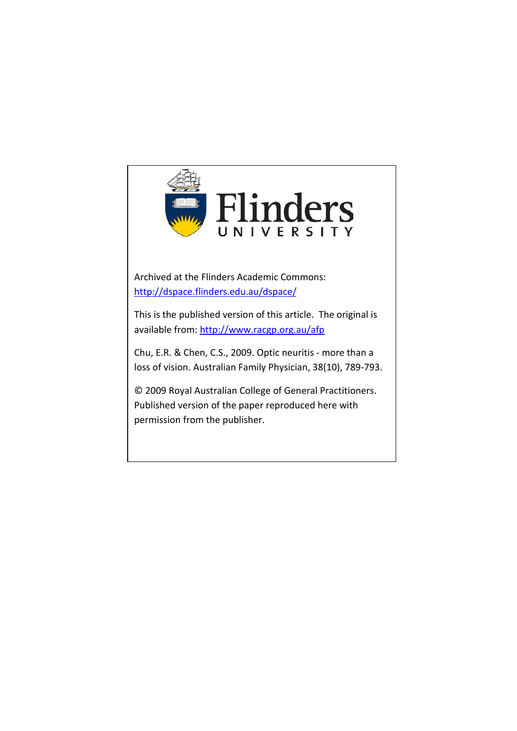

Archived at the Flinders Academic Commons: <http://dspace.flinders.edu.au/dspace/>

This is the published version of this article. The original is available from:<http://www.racgp.org.au/afp>

Chu, E.R. & Chen, C.S., 2009. Optic neuritis - more than a loss of vision. Australian Family Physician, 38(10), 789-793.

© 2009 Royal Australian College of General Practitioners. Published version of the paper reproduced here with permission from the publisher.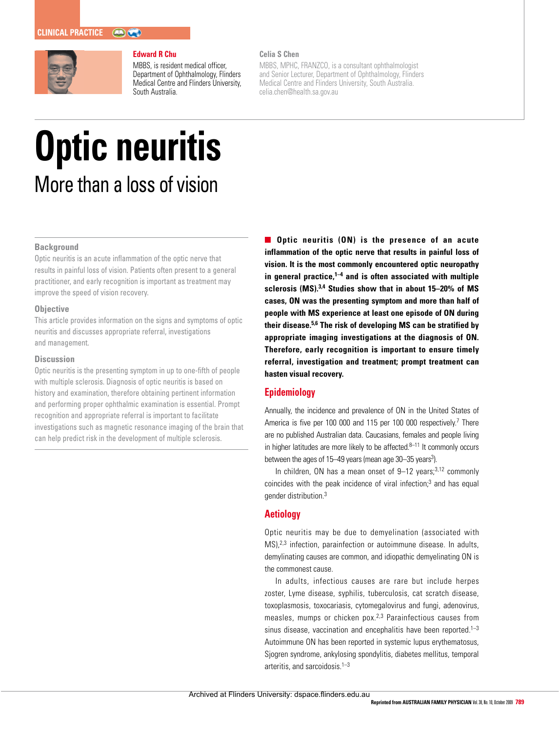

#### **Edward R Chu**

MBBS, is resident medical officer, Department of Ophthalmology, Flinders Medical Centre and Flinders University, South Australia.

# **Celia S Chen**

MBBS, MPHC, FRANZCO, is a consultant ophthalmologist and Senior Lecturer, Department of Ophthalmology, Flinders Medical Centre and Flinders University, South Australia. celia.chen@health.sa.gov.au

# **Optic neuritis**  More than a loss of vision

# **Background**

Optic neuritis is an acute inflammation of the optic nerve that results in painful loss of vision. Patients often present to a general practitioner, and early recognition is important as treatment may improve the speed of vision recovery.

#### **Objective**

This article provides information on the signs and symptoms of optic neuritis and discusses appropriate referral, investigations and management.

#### **Discussion**

Optic neuritis is the presenting symptom in up to one-fifth of people with multiple sclerosis. Diagnosis of optic neuritis is based on history and examination, therefore obtaining pertinent information and performing proper ophthalmic examination is essential. Prompt recognition and appropriate referral is important to facilitate investigations such as magnetic resonance imaging of the brain that can help predict risk in the development of multiple sclerosis.

**Optic neuritis (ON) is the presence of an acute inflammation of the optic nerve that results in painful loss of vision. It is the most commonly encountered optic neuropathy in general practice,1–4 and is often associated with multiple sclerosis (MS).3,4 Studies show that in about 15–20% of MS cases, ON was the presenting symptom and more than half of people with MS experience at least one episode of ON during their disease.5,6 The risk of developing MS can be stratified by appropriate imaging investigations at the diagnosis of ON. Therefore, early recognition is important to ensure timely referral, investigation and treatment; prompt treatment can hasten visual recovery.**

# **Epidemiology**

Annually, the incidence and prevalence of ON in the United States of America is five per 100 000 and 115 per 100 000 respectively.<sup>7</sup> There are no published Australian data. Caucasians, females and people living in higher latitudes are more likely to be affected. $8-11$  It commonly occurs between the ages of 15–49 years (mean age 30–35 years<sup>3</sup>).

In children, ON has a mean onset of  $9-12$  years;  $3,12$  commonly coincides with the peak incidence of viral infection; $3$  and has equal gender distribution.3

# **Aetiology**

Optic neuritis may be due to demyelination (associated with MS),2,3 infection, parainfection or autoimmune disease. In adults, demylinating causes are common, and idiopathic demyelinating ON is the commonest cause.

In adults, infectious causes are rare but include herpes zoster, Lyme disease, syphilis, tuberculosis, cat scratch disease, toxoplasmosis, toxocariasis, cytomegalovirus and fungi, adenovirus, measles, mumps or chicken pox.2,3 Parainfectious causes from sinus disease, vaccination and encephalitis have been reported. $1-3$ Autoimmune ON has been reported in systemic lupus erythematosus, Sjogren syndrome, ankylosing spondylitis, diabetes mellitus, temporal arteritis, and sarcoidosis.<sup>1-3</sup>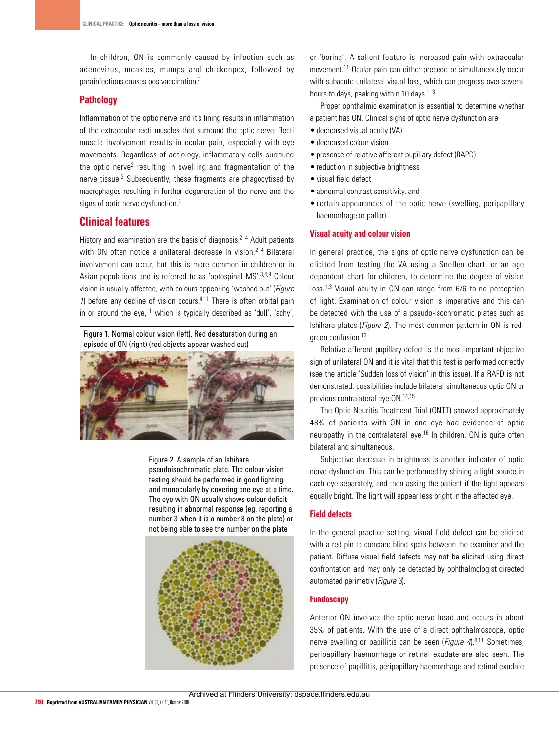In children, ON is commonly caused by infection such as adenovirus, measles, mumps and chickenpox, followed by parainfectious causes postvaccination.3

# **Pathology**

Inflammation of the optic nerve and it's lining results in inflammation of the extraocular recti muscles that surround the optic nerve. Recti muscle involvement results in ocular pain, especially with eye movements. Regardless of aetiology, inflammatory cells surround the optic nerve2 resulting in swelling and fragmentation of the nerve tissue.<sup>2</sup> Subsequently, these fragments are phagocytised by macrophages resulting in further degeneration of the nerve and the signs of optic nerve dysfunction.<sup>2</sup>

# **Clinical features**

History and examination are the basis of diagnosis.<sup>2-4</sup> Adult patients with ON often notice a unilateral decrease in vision.<sup>2-4</sup> Bilateral involvement can occur, but this is more common in children or in Asian populations and is referred to as 'optospinal MS'.<sup>3,4,9</sup> Colour vision is usually affected, with colours appearing 'washed out' (*Figure*) 1) before any decline of vision occurs. $4,11$  There is often orbital pain in or around the eye, $11$  which is typically described as 'dull', 'achy',

Figure 1. Normal colour vision (left). Red desaturation during an episode of ON (right) (red objects appear washed out)



Figure 2. A sample of an Ishihara pseudoisochromatic plate. The colour vision testing should be performed in good lighting and monocularly by covering one eye at a time. The eye with ON usually shows colour deficit resulting in abnormal response (eg. reporting a number 3 when it is a number 8 on the plate) or not being able to see the number on the plate



or 'boring'. A salient feature is increased pain with extraocular movement.11 Ocular pain can either precede or simultaneously occur with subacute unilateral visual loss, which can progress over several hours to days, peaking within 10 days.<sup>1-3</sup>

Proper ophthalmic examination is essential to determine whether a patient has ON. Clinical signs of optic nerve dysfunction are:

- decreased visual acuity (VA)
- • decreased colour vision
- • presence of relative afferent pupillary defect (RAPD)
- reduction in subiective brightness
- • visual field defect
- abnormal contrast sensitivity, and
- certain appearances of the optic nerve (swelling, peripapillary haemorrhage or pallor).

# **Visual acuity and colour vision**

In general practice, the signs of optic nerve dysfunction can be elicited from testing the VA using a Snellen chart, or an age dependent chart for children, to determine the degree of vision loss.1,3 Visual acuity in ON can range from 6/6 to no perception of light. Examination of colour vision is imperative and this can be detected with the use of a pseudo-isochromatic plates such as Ishihara plates (Figure 2). The most common pattern in ON is redgreen confusion.13

Relative afferent pupillary defect is the most important objective sign of unilateral ON and it is vital that this test is performed correctly (see the article 'Sudden loss of vision' in this issue). If a RAPD is not demonstrated, possibilities include bilateral simultaneous optic ON or previous contralateral eye ON.14,15

The Optic Neuritis Treatment Trial (ONTT) showed approximately 48% of patients with ON in one eye had evidence of optic neuropathy in the contralateral eye.<sup>16</sup> In children, ON is quite often bilateral and simultaneous.

Subjective decrease in brightness is another indicator of optic nerve dysfunction. This can be performed by shining a light source in each eye separately, and then asking the patient if the light appears equally bright. The light will appear less bright in the affected eye.

#### **Field defects**

In the general practice setting, visual field defect can be elicited with a red pin to compare blind spots between the examiner and the patient. Diffuse visual field defects may not be elicited using direct confrontation and may only be detected by ophthalmologist directed automated perimetry (Figure 3).

# **Fundoscopy**

Anterior ON involves the optic nerve head and occurs in about 35% of patients. With the use of a direct ophthalmoscope, optic nerve swelling or papillitis can be seen (*Figure 4*).<sup>8,11</sup> Sometimes, peripapillary haemorrhage or retinal exudate are also seen. The presence of papillitis, peripapillary haemorrhage and retinal exudate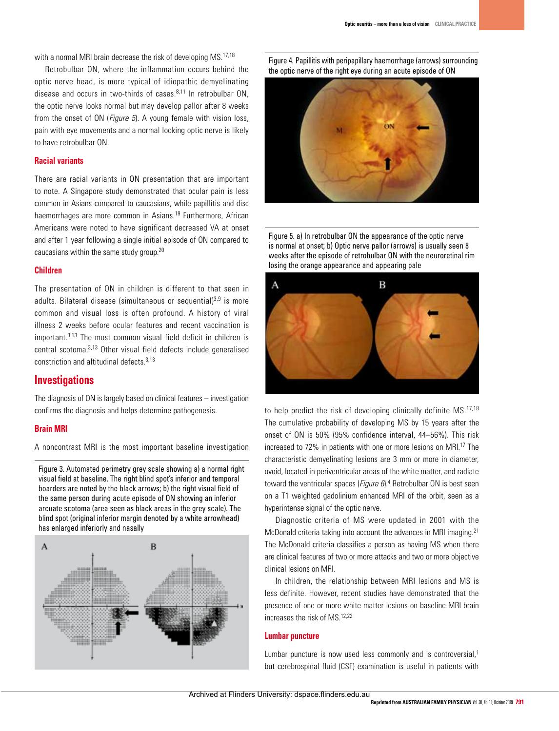with a normal MRI brain decrease the risk of developing MS.<sup>17,18</sup>

Retrobulbar ON, where the inflammation occurs behind the optic nerve head, is more typical of idiopathic demyelinating disease and occurs in two-thirds of cases  $8,11$  In retrobulbar ON the optic nerve looks normal but may develop pallor after 8 weeks from the onset of ON (*Figure 5*). A young female with vision loss, pain with eye movements and a normal looking optic nerve is likely to have retrobulbar ON.

# **Racial variants**

There are racial variants in ON presentation that are important to note. A Singapore study demonstrated that ocular pain is less common in Asians compared to caucasians, while papillitis and disc haemorrhages are more common in Asians.<sup>19</sup> Furthermore, African Americans were noted to have significant decreased VA at onset and after 1 year following a single initial episode of ON compared to caucasians within the same study group.20

#### **Children**

The presentation of ON in children is different to that seen in adults. Bilateral disease (simultaneous or sequential) $3,9$  is more common and visual loss is often profound. A history of viral illness 2 weeks before ocular features and recent vaccination is important.3,13 The most common visual field deficit in children is central scotoma.3,13 Other visual field defects include generalised constriction and altitudinal defects.3,13

# **Investigations**

The diagnosis of ON is largely based on clinical features – investigation confirms the diagnosis and helps determine pathogenesis.

# **Brain MRI**

A noncontrast MRI is the most important baseline investigation

Figure 3. Automated perimetry grey scale showing a) a normal right visual field at baseline. The right blind spot's inferior and temporal boarders are noted by the black arrows; b) the right visual field of the same person during acute episode of ON showing an inferior arcuate scotoma (area seen as black areas in the grey scale). The blind spot (original inferior margin denoted by a white arrowhead) has enlarged inferiorly and nasally



Figure 4. Papillitis with peripapillary haemorrhage (arrows) surrounding the optic nerve of the right eye during an acute episode of ON



Figure 5. a) In retrobulbar ON the appearance of the optic nerve is normal at onset; b) Optic nerve pallor (arrows) is usually seen 8 weeks after the episode of retrobulbar ON with the neuroretinal rim losing the orange appearance and appearing pale



to help predict the risk of developing clinically definite MS.<sup>17,18</sup> The cumulative probability of developing MS by 15 years after the onset of ON is 50% (95% confidence interval, 44–56%). This risk increased to 72% in patients with one or more lesions on MRI.<sup>17</sup> The characteristic demyelinating lesions are 3 mm or more in diameter, ovoid, located in periventricular areas of the white matter, and radiate toward the ventricular spaces (Figure  $6$ ).<sup>4</sup> Retrobulbar ON is best seen on a T1 weighted gadolinium enhanced MRI of the orbit, seen as a hyperintense signal of the optic nerve.

Diagnostic criteria of MS were updated in 2001 with the McDonald criteria taking into account the advances in MRI imaging.<sup>21</sup> The McDonald criteria classifies a person as having MS when there are clinical features of two or more attacks and two or more objective clinical lesions on MRI.

In children, the relationship between MRI lesions and MS is less definite. However, recent studies have demonstrated that the presence of one or more white matter lesions on baseline MRI brain increases the risk of MS.12,22

# **Lumbar puncture**

Lumbar puncture is now used less commonly and is controversial,<sup>1</sup> but cerebrospinal fluid (CSF) examination is useful in patients with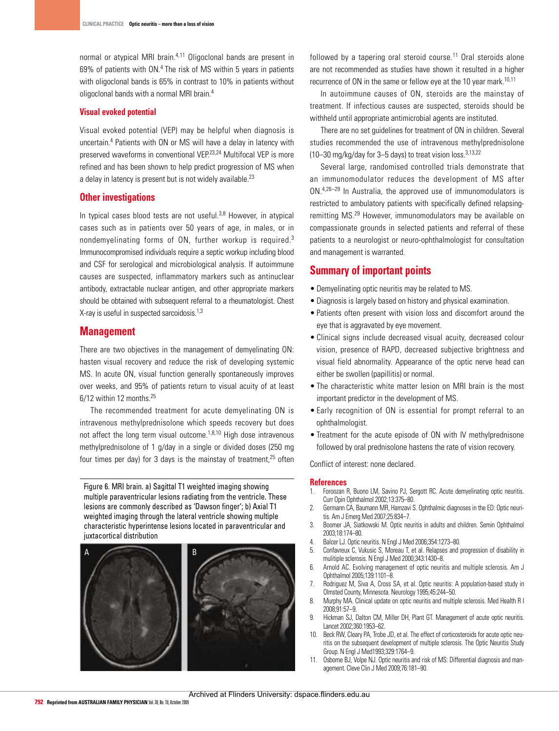normal or atypical MRI brain.<sup>4,11</sup> Oligoclonal bands are present in 69% of patients with ON.4 The risk of MS within 5 years in patients with oligoclonal bands is 65% in contrast to 10% in patients without oligoclonal bands with a normal MRI brain.4

#### **Visual evoked potential**

Visual evoked potential (VEP) may be helpful when diagnosis is uncertain.4 Patients with ON or MS will have a delay in latency with preserved waveforms in conventional VEP.23,24 Multifocal VEP is more refined and has been shown to help predict progression of MS when a delay in latency is present but is not widely available.<sup>23</sup>

# **Other investigations**

In typical cases blood tests are not useful. $3,8$  However, in atypical cases such as in patients over 50 years of age, in males, or in nondemyelinating forms of ON, further workup is required.3 Immunocompromised individuals require a septic workup including blood and CSF for serological and microbiological analysis. If autoimmune causes are suspected, inflammatory markers such as antinuclear antibody, extractable nuclear antigen, and other appropriate markers should be obtained with subsequent referral to a rheumatologist. Chest X-ray is useful in suspected sarcoidosis.<sup>1,3</sup>

# **Management**

There are two objectives in the management of demyelinating ON: hasten visual recovery and reduce the risk of developing systemic MS. In acute ON, visual function generally spontaneously improves over weeks, and 95% of patients return to visual acuity of at least 6/12 within 12 months.<sup>25</sup>

The recommended treatment for acute demyelinating ON is intravenous methylprednisolone which speeds recovery but does not affect the long term visual outcome.<sup>1,8,10</sup> High dose intravenous methylprednisolone of 1 g/day in a single or divided doses (250 mg four times per day) for 3 days is the mainstay of treatment, $25$  often

Figure 6. MRI brain. a) Sagittal T1 weighted imaging showing multiple paraventricular lesions radiating from the ventricle. These lesions are commonly described as 'Dawson finger'; b) Axial T1 weighted imaging through the lateral ventricle showing multiple characteristic hyperintense lesions located in paraventricular and juxtacortical distribution



followed by a tapering oral steroid course.<sup>11</sup> Oral steroids alone are not recommended as studies have shown it resulted in a higher recurrence of ON in the same or fellow eye at the 10 year mark.<sup>10,11</sup>

In autoimmune causes of ON, steroids are the mainstay of treatment. If infectious causes are suspected, steroids should be withheld until appropriate antimicrobial agents are instituted.

There are no set quidelines for treatment of ON in children. Several studies recommended the use of intravenous methylprednisolone (10–30 mg/kg/day for 3–5 days) to treat vision loss.3,13,22

Several large, randomised controlled trials demonstrate that an immunomodulator reduces the development of MS after ON.4,26–29 In Australia, the approved use of immunomodulators is restricted to ambulatory patients with specifically defined relapsingremitting MS.29 However, immunomodulators may be available on compassionate grounds in selected patients and referral of these patients to a neurologist or neuro-ophthalmologist for consultation and management is warranted.

# **Summary of important points**

- Demyelinating optic neuritis may be related to MS.
- • Diagnosis is largely based on history and physical examination.
- Patients often present with vision loss and discomfort around the eye that is aggravated by eye movement.
- • Clinical signs include decreased visual acuity, decreased colour vision, presence of RAPD, decreased subjective brightness and visual field abnormality. Appearance of the optic nerve head can either be swollen (papillitis) or normal.
- The characteristic white matter lesion on MRI brain is the most important predictor in the development of MS.
- Early recognition of ON is essential for prompt referral to an ophthalmologist.
- Treatment for the acute episode of ON with IV methylprednisone followed by oral prednisolone hastens the rate of vision recovery.

Conflict of interest: none declared.

#### **References**

- 1. Foroozan R, Buono LM, Savino PJ, Sergott RC. Acute demyelinating optic neuritis. Curr Opin Ophthalmol 2002;13:375–80.
- 2. Germann CA, Baumann MR, Hamzavi S. Ophthalmic diagnoses in the ED: Optic neuritis. Am J Emerg Med 2007;25:834–7.
- 3. Boomer JA, Siatkowski M. Optic neuritis in adults and children. Semin Ophthalmol 2003;18:174–80.
- 4. BalcerLJ. Optic neuritis. N Engl J Med 2006;354:1273–80.
- 5. Confavreux C, Vukusic S, Moreau T, et al. Relapses and progression of disability in mulitiple sclerosis. N Engl J Med 2000;343:1430–8.
- 6. Arnold AC. Evolving management of optic neuritis and multiple sclerosis. Am J Ophthalmol 2005;139:1101–8.
- 7. Rodriguez M, Siva A, Cross SA, et al. Optic neuritis: A population-based study in Olmsted County, Minnesota. Neurology 1995;45:244–50.
- 8. Murphy MA. Clinical update on optic neuritis and multiple sclerosis. Med Health R I 2008;91:57–9.
- 9. Hickman SJ, Dalton CM, Miller DH, Plant GT. Management of acute optic neuritis. Lancet 2002;360:1953–62.
- 10. Beck RW, Cleary PA, Trobe JD, et al. The effect of corticosteroids for acute optic neuritis on the subsequent development of multiple sclerosis. The Optic Neuritis Study Group. N Engl J Med1993;329:1764–9.
- 0sborne BJ, Volpe NJ. Optic neuritis and risk of MS: Differential diagnosis and management. Cleve Clin J Med 2009;76:181–90.